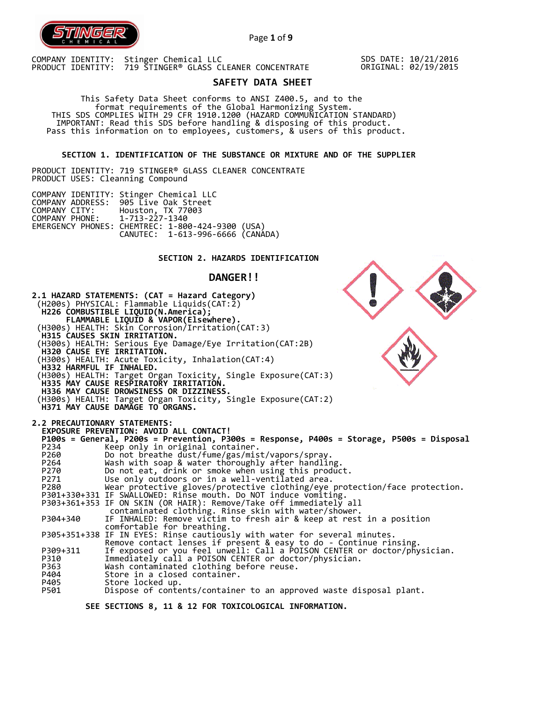

Page **1** of **9**

COMPANY IDENTITY: Stinger Chemical LLC PRODUCT IDENTITY: 719 STINGER® GLASS CLEANER CONCENTRATE

SDS DATE: 10/21/2016 ORIGINAL: 02/19/2015

# **SAFETY DATA SHEET**

 This Safety Data Sheet conforms to ANSI Z400.5, and to the format requirements of the Global Harmonizing System. THIS SDS COMPLIES WITH 29 CFR 1910.1200 (HAZARD COMMUNICATION STANDARD) IMPORTANT: Read this SDS before handling & disposing of this product. Pass this information on to employees, customers, & users of this product.

**SECTION 1. IDENTIFICATION OF THE SUBSTANCE OR MIXTURE AND OF THE SUPPLIER** 

PRODUCT IDENTITY: 719 STINGER® GLASS CLEANER CONCENTRATE PRODUCT USES: Cleanning Compound

|                               | COMPANY IDENTITY: Stinger Chemical LLC           |  |
|-------------------------------|--------------------------------------------------|--|
|                               | COMPANY ADDRESS: 905 Live Oak Street             |  |
| COMPANY CITY:                 | Houston, TX 77003                                |  |
| COMPANY PHONE: 1-713-227-1340 |                                                  |  |
|                               | EMERGENCY PHONES: CHEMTREC: 1-800-424-9300 (USA) |  |
|                               | CANUTEC: 1-613-996-6666 (CANADA)                 |  |

# **SECTION 2. HAZARDS IDENTIFICATION**

# **DANGER!!**

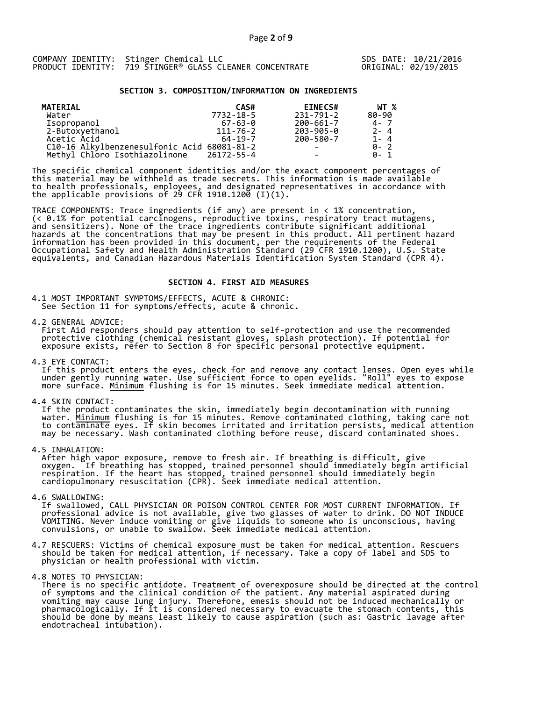### **SECTION 3. COMPOSITION/INFORMATION ON INGREDIENTS**

| <b>MATERIAL</b>                             | CAS#           | <b>EINECS#</b>  | WT %      |
|---------------------------------------------|----------------|-----------------|-----------|
| Water                                       | 7732-18-5      | 231-791-2       | $80 - 90$ |
| Isopropanol                                 | $67 - 63 - 0$  | 200-661-7       | $4 - 7$   |
| 2-Butoxyethanol                             | $111 - 76 - 2$ | 203-905-0       | $2 - 4$   |
| Acetic Acid                                 | $64 - 19 - 7$  | 200-580-7       | $1 - 4$   |
| C10-16 Alkylbenzenesulfonic Acid 68081-81-2 |                | $\qquad \qquad$ | $0 - 2$   |
| Methyl Chloro Isothiazolinone               | 26172-55-4     |                 | ด- 1      |

The specific chemical component identities and/or the exact component percentages of this material may be withheld as trade secrets. This information is made available to health professionals, employees, and designated representatives in accordance with the applicable provisions of 29 CFR 1910.1200̄ (I)(1).  $\overline{\phantom{a}}$ 

TRACE COMPONENTS: Trace ingredients (if any) are present in < 1% concentration, (< 0.1% for potential carcinogens, reproductive toxins, respiratory tract mutagens, and sensitizers). None of the trace ingredients contribute significant additional hazards at the concentrations that may be present in this product. All pertinent hazard information has been provided in this document, per the requirements of the Federal Occupational Safety and Health Administration Standard (29 CFR 1910.1200), U.S. State equivalents, and Canadian Hazardous Materials Identification System Standard (CPR 4).

### **SECTION 4. FIRST AID MEASURES**

4.1 MOST IMPORTANT SYMPTOMS/EFFECTS, ACUTE & CHRONIC: See Section 11 for symptoms/effects, acute & chronic.

4.2 GENERAL ADVICE:

 First Aid responders should pay attention to self-protection and use the recommended protective clothing (chemical resistant gloves, splash protection). If potential for exposure exists, refer to Section 8 for specific personal protective equipment.

4.3 EYE CONTACT:

 If this product enters the eyes, check for and remove any contact lenses. Open eyes while under gently running water. Use sufficient force to open eyelids. "Roll" eyes to expose more surface. <u>Minimum</u> flushing is for 15 minutes. Seek immediate medical attention.

4.4 SKIN CONTACT:

 If the product contaminates the skin, immediately begin decontamination with running water. <u>Minimum</u> flushing is for 15 minutes. Remove contaminated clothing, taking care not to contaminate eyes. If skin becomes irritated and irritation persists, medical attention may be necessary. Wash contaminated clothing before reuse, discard contaminated shoes.

4.5 INHALATION:

 After high vapor exposure, remove to fresh air. If breathing is difficult, give oxygen. If breathing has stopped, trained personnel should immediately begin artificial respiration. If the heart has stopped, trained personnel should immediately begin cardiopulmonary resuscitation (CPR). Seek immediate medical attention.

4.6 SWALLOWING:

 If swallowed, CALL PHYSICIAN OR POISON CONTROL CENTER FOR MOST CURRENT INFORMATION. If professional advice is not available, give two glasses of water to drink. DO NOT INDUCE VOMITING. Never induce vomiting or give liquids to someone who is unconscious, having convulsions, or unable to swallow. Seek immediate medical attention.

- 4.7 RESCUERS: Victims of chemical exposure must be taken for medical attention. Rescuers should be taken for medical attention, if necessary. Take a copy of label and SDS to physician or health professional with victim.
- 4.8 NOTES TO PHYSICIAN:

 There is no specific antidote. Treatment of overexposure should be directed at the control of symptoms and the clinical condition of the patient. Any material aspirated during vomiting may cause lung injury. Therefore, emesis should not be induced mechanically or pharmacologically. If it is considered necessary to evacuate the stomach contents, this should be done by means least likely to cause aspiration (such as: Gastric lavage after endotracheal intubation).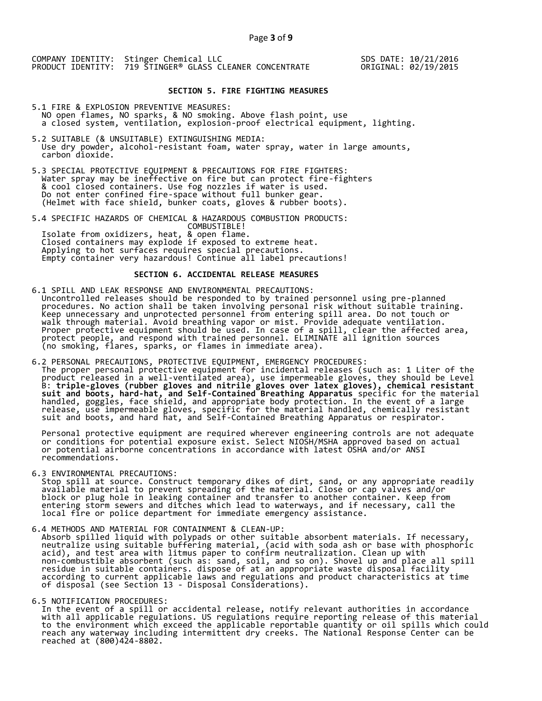SDS DATE: 10/21/2016 ORIGINAL: 02/19/2015

### **SECTION 5. FIRE FIGHTING MEASURES**

- 5.1 FIRE & EXPLOSION PREVENTIVE MEASURES: NO open flames, NO sparks, & NO smoking. Above flash point, use a closed system, ventilation, explosion-proof electrical equipment, lighting.
- 5.2 SUITABLE (& UNSUITABLE) EXTINGUISHING MEDIA: Use dry powder, alcohol-resistant foam, water spray, water in large amounts, carbon dioxide.
- 5.3 SPECIAL PROTECTIVE EQUIPMENT & PRECAUTIONS FOR FIRE FIGHTERS: Water spray may be ineffective on fire but can protect fire-fighters & cool closed containers. Use fog nozzles if water is used. Do not enter confined fire-space without full bunker gear. (Helmet with face shield, bunker coats, gloves & rubber boots).

5.4 SPECIFIC HAZARDS OF CHEMICAL & HAZARDOUS COMBUSTION PRODUCTS: COMBUSTIBLE! Isolate from oxidizers, heat, & open flame. Closed containers may explode if exposed to extreme heat. Applying to hot surfaces requires special precautions. Empty container very hazardous! Continue all label precautions!

#### **SECTION 6. ACCIDENTAL RELEASE MEASURES**

# 6.1 SPILL AND LEAK RESPONSE AND ENVIRONMENTAL PRECAUTIONS:

 Uncontrolled releases should be responded to by trained personnel using pre-planned procedures. No action shall be taken involving personal risk without suitable training. Keep unnecessary and unprotected personnel from entering spill area. Do not touch or walk through material. Avoid breathing vapor or mist. Provide adequate ventilation. Proper protective equipment should be used. In case of a spill, clear the affected area, protect people, and respond with trained personnel. ELIMINATE all ignition sources (no smoking, flares, sparks, or flames in immediate area).

# 6.2 PERSONAL PRECAUTIONS, PROTECTIVE EQUIPMENT, EMERGENCY PROCEDURES:

 The proper personal protective equipment for incidental releases (such as: 1 Liter of the product released in a well-ventilated area), use impermeable gloves, they should be Level B: **triple-gloves (rubber gloves and nitrile gloves over latex gloves), chemical resistant suit and boots, hard-hat, and Self-Contained Breathing Apparatus** specific for the material handled, goggles, face shield, and appropriate body protection. In the event of a large release, use impermeable gloves, specific for the material handled, chemically resistant suit and boots, and hard hat, and Self-Contained Breathing Apparatus or respirator.

 Personal protective equipment are required wherever engineering controls are not adequate or conditions for potential exposure exist. Select NIOSH/MSHA approved based on actual or potential airborne concentrations in accordance with latest OSHA and/or ANSI recommendations.

6.3 ENVIRONMENTAL PRECAUTIONS:

 Stop spill at source. Construct temporary dikes of dirt, sand, or any appropriate readily available material to prevent spreading of the material. Close or cap valves and/or block or plug hole in leaking container and transfer to another container. Keep from entering storm sewers and ditches which lead to waterways, and if necessary, call the local fire or police department for immediate emergency assistance.

#### 6.4 METHODS AND MATERIAL FOR CONTAINMENT & CLEAN-UP:

 Absorb spilled liquid with polypads or other suitable absorbent materials. If necessary, neutralize using suitable buffering material, (acid with soda ash or base with phosphoric acid), and test area with litmus paper to confirm neutralization. Clean up with non-combustible absorbent (such as: sand, soil, and so on). Shovel up and place all spill residue in suitable containers. dispose of at an appropriate waste disposal facility according to current applicable laws and regulations and product characteristics at time of disposal (see Section 13 - Disposal Considerations).

### 6.5 NOTIFICATION PROCEDURES:

 In the event of a spill or accidental release, notify relevant authorities in accordance with all applicable regulations. US regulations require reporting release of this material to the environment which exceed the applicable reportable quantity or oil spills which could reach any waterway including intermittent dry creeks. The National Response Center can be reached at (800)424-8802.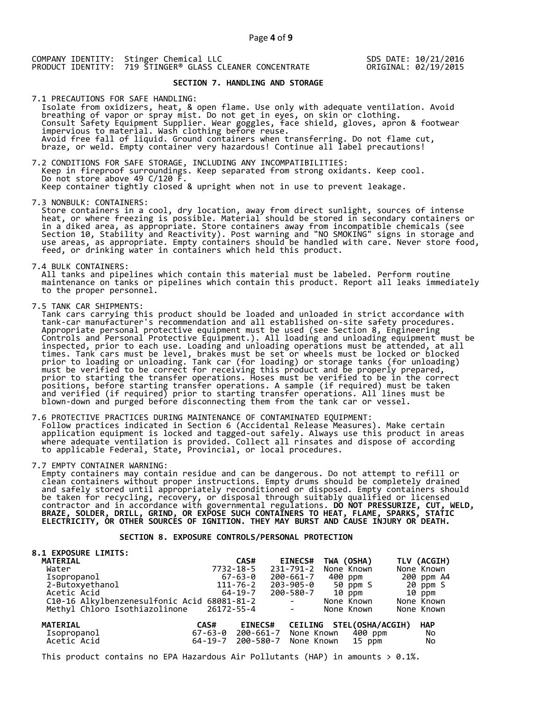SDS DATE: 10/21/2016 ORIGINAL: 02/19/2015

# **SECTION 7. HANDLING AND STORAGE**

7.1 PRECAUTIONS FOR SAFE HANDLING: Isolate from oxidizers, heat, & open flame. Use only with adequate ventilation. Avoid breathing of vapor or spray mist. Do not get in eyes, on skin or clothing. Consult Safety Equipment Supplier. Wear goggles, face shield, gloves, apron & footwear impervious to material. Wash clothing before reuse. Avoid free fall of liquid. Ground containers when transferring. Do not flame cut, braze, or weld. Empty container very hazardous! Continue all label precautions!

7.2 CONDITIONS FOR SAFE STORAGE, INCLUDING ANY INCOMPATIBILITIES: Keep in fireproof surroundings. Keep separated from strong oxidants. Keep cool. Do not store above 49  $C/120$   $\overline{F}$ . Keep container tightly closed & upright when not in use to prevent leakage.

7.3 NONBULK: CONTAINERS:

 Store containers in a cool, dry location, away from direct sunlight, sources of intense heat, or where freezing is possible. Material should be stored in secondary containers or in a diked area, as appropriate. Store containers away from incompatible chemicals (see Section 10, Stability and Reactivity). Post warning and "NO SMOKING" signs in storage and use areas, as appropriate. Empty containers should be handled with care. Never store food, feed, or drinking water in containers which held this product.

7.4 BULK CONTAINERS:

 All tanks and pipelines which contain this material must be labeled. Perform routine maintenance on tanks or pipelines which contain this product. Report all leaks immediately to the proper personnel.

7.5 TANK CAR SHIPMENTS:<br>Tank cars carrying this product should be loaded and unloaded in strict accordance with Tank cars carrying this product should be loaded and unloaded in strict accordance with tank-car manufacturer's recommendation and all established on-site safety procedures. Appropriate personal protective equipment must be used (see Section 8, Engineering Controls and Personal Protective Equipment.). All loading and unloading equipment must be inspected, prior to each use. Loading and unloading operations must be attended, at all times. Tank cars must be level, brakes must be set or wheels must be locked or blocked prior to loading or unloading. Tank car (for loading) or storage tanks (for unloading) must be verified to be correct for receiving this product and be properly prepared, prior to starting the transfer operations. Hoses must be verified to be in the correct positions, before starting transfer operations. A sample (if required) must be taken and verified (if required) prior to starting transfer operations. All lines must be blown-down and purged before disconnecting them from the tank car or vessel.

7.6 PROTECTIVE PRACTICES DURING MAINTENANCE OF CONTAMINATED EQUIPMENT: Follow practices indicated in Section 6 (Accidental Release Measures). Make certain application equipment is locked and tagged-out safely. Always use this product in areas where adequate ventilation is provided. Collect all rinsates and dispose of according to applicable Federal, State, Provincial, or local procedures.

7.7 EMPTY CONTAINER WARNING:

 Empty containers may contain residue and can be dangerous. Do not attempt to refill or clean containers without proper instructions. Empty drums should be completely drained and safely stored until appropriately reconditioned or disposed. Empty containers should be taken for recycling, recovery, or disposal through suitably qualified or licensed contractor and in accordance with governmental regulations. **DO NOT PRESSURIZE, CUT, WELD, BRAZE, SOLDER, DRILL, GRIND, OR EXPOSE SUCH CONTAINERS TO HEAT, FLAME, SPARKS, STATIC ELECTRICITY, OR OTHER SOURCES OF IGNITION. THEY MAY BURST AND CAUSE INJURY OR DEATH.**

## **SECTION 8. EXPOSURE CONTROLS/PERSONAL PROTECTION**

| <b>8.1 EXPOSURE LIMITS:</b>                 |               |                |                                                                                   |                          |             |
|---------------------------------------------|---------------|----------------|-----------------------------------------------------------------------------------|--------------------------|-------------|
| <b>MATERIAL</b>                             |               | CAS#           | <b>EINECS#</b>                                                                    | TWA (OSHA)               | TLV (ACGIH) |
| Water                                       | 7732-18-5     |                | 231-791-2                                                                         | None Known               | None Known  |
|                                             |               | $67 - 63 - 0$  | 200-661-7                                                                         | 400 ppm                  | 200 ppm A4  |
| Isopropanol<br>2-Butoxyethanol              |               | 111-76-2       | 203-905-0                                                                         | 50 ppm S                 | 20 ppm S    |
| Acetic Acid                                 |               | 64-19-7        | 200-580-7                                                                         | $10$ ppm                 | 10 ppm      |
| C10-16 Alkylbenzenesulfonic Acid 68081-81-2 |               |                | $\sim 100$ m $^{-1}$                                                              | None Known               | None Known  |
| Methyl Chloro Isothiazolinone               | 26172-55-4    |                | $\mathcal{L}^{\mathcal{L}}(\mathcal{L}^{\mathcal{L}}(\mathcal{L}^{\mathcal{L}}))$ | None Known               | None Known  |
|                                             |               |                |                                                                                   |                          |             |
| <b>MATERIAL</b>                             | CAS#          | <b>EINECS#</b> |                                                                                   | CEILING STEL(OSHA/ACGIH) | <b>HAP</b>  |
| Isopropanol<br>Acetic Acid                  | $67 - 63 - 0$ | 200-661-7      | None Known                                                                        | 400 ppm                  | No          |
|                                             | $64 - 19 - 7$ | 200-580-7      | None Known                                                                        | 15 ppm                   | No          |
|                                             |               |                |                                                                                   |                          |             |

This product contains no EPA Hazardous Air Pollutants (HAP) in amounts  $> 0.1\%$ .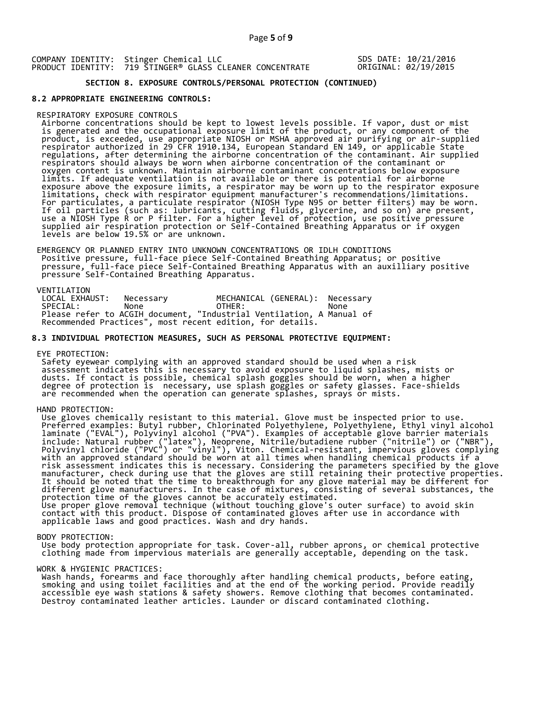SDS DATE: 10/21/2016 ORIGINAL: 02/19/2015

# **SECTION 8. EXPOSURE CONTROLS/PERSONAL PROTECTION (CONTINUED)**

### **8.2 APPROPRIATE ENGINEERING CONTROLS:**

#### RESPIRATORY EXPOSURE CONTROLS

 Airborne concentrations should be kept to lowest levels possible. If vapor, dust or mist is generated and the occupational exposure limit of the product, or any component of the product, is exceeded, use appropriate NIOSH or MSHA approved air purifying or air-supplied respirator authorized in 29 CFR 1910.134, European Standard EN 149, or applicable State regulations, after determining the airborne concentration of the contaminant. Air supplied respirators should always be worn when airborne concentration of the contaminant or oxygen content is unknown. Maintain airborne contaminant concentrations below exposure limits. If adequate ventilation is not available or there is potential for airborne exposure above the exposure limits, a respirator may be worn up to the respirator exposure limitations, check with respirator equipment manufacturer's recommendations/limitations. For particulates, a particulate respirator (NIOSH Type N95 or better filters) may be worn. If oil particles (such as: lubricants, cutting fluids, glycerine, and so on) are present, use a NIOSH Type R or P filter. For a higher level of protection, use positive pressure supplied air respiration protection or Self-Contained Breathing Apparatus or if oxygen levels are below 19.5% or are unknown.

 EMERGENCY OR PLANNED ENTRY INTO UNKNOWN CONCENTRATIONS OR IDLH CONDITIONS Positive pressure, full-face piece Self-Contained Breathing Apparatus; or positive pressure, full-face piece Self-Contained Breathing Apparatus with an auxilliary positive pressure Self-Contained Breathing Apparatus.

VENTILATION<br>LOCAL EXHAUST: LOCAL EXHAUST: Necessary MECHANICAL (GENERAL): Necessary<br>SPECIAL: None OTHER: None SPECIAL: None OTHER: None Please refer to ACGIH document, "Industrial Ventilation, A Manual of Recommended Practices", most recent edition, for details.

#### **8.3 INDIVIDUAL PROTECTION MEASURES, SUCH AS PERSONAL PROTECTIVE EQUIPMENT:**

EYE PROTECTION:

 Safety eyewear complying with an approved standard should be used when a risk assessment indicates this is necessary to avoid exposure to liquid splashes, mists or dusts. If contact is possible, chemical splash goggles should be worn, when a higher degree of protection is necessary, use splash goggles or safety glasses. Face-shields are recommended when the operation can generate splashes, sprays or mists.

HAND PROTECTION:

 Use gloves chemically resistant to this material. Glove must be inspected prior to use. Preferred examples: Butyl rubber, Chlorinated Polyethylene, Polyethylene, Ethyl vinyl alcohol laminate ("EVAL"), Polyvinyl alcohol ("PVA"). Examples of acceptable glove barrier materials include: Natural rubber ("latex"), Neoprene, Nitrile/butadiene rubber ("nitrile") or ("NBR"), Polyvinyl chloride ("PVC") or "vinyl"), Viton. Chemical-resistant, impervious gloves complying with an approved standard should be worn at all times when handling chemical products if a risk assessment indicates this is necessary. Considering the parameters specified by the glove manufacturer, check during use that the gloves are still retaining their protective properties. It should be noted that the time to breakthrough for any glove material may be different for different glove manufacturers. In the case of mixtures, consisting of several substances, the protection time of the gloves cannot be accurately estimated. Use proper glove removal technique (without touching glove's outer surface) to avoid skin contact with this product. Dispose of contaminated gloves after use in accordance with applicable laws and good practices. Wash and dry hands.

#### BODY PROTECTION:

 Use body protection appropriate for task. Cover-all, rubber aprons, or chemical protective clothing made from impervious materials are generally acceptable, depending on the task.

#### WORK & HYGIENIC PRACTICES:

 Wash hands, forearms and face thoroughly after handling chemical products, before eating, smoking and using toilet facilities and at the end of the working period. Provide readily accessible eye wash stations & safety showers. Remove clothing that becomes contaminated. Destroy contaminated leather articles. Launder or discard contaminated clothing.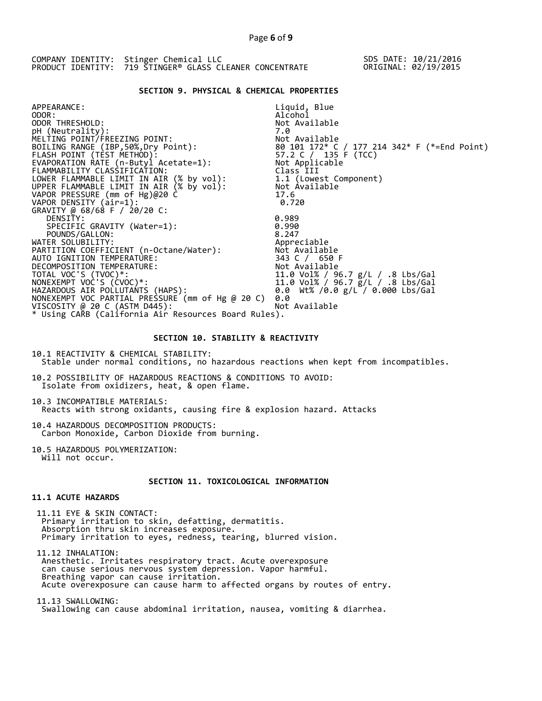COMPANY IDENTITY: Stinger Chemical LLC PRODUCT IDENTITY: 719 STINGER® GLASS CLEANER CONCENTRATE SDS DATE: 10/21/2016 ORIGINAL: 02/19/2015

# **SECTION 9. PHYSICAL & CHEMICAL PROPERTIES**

| APPEARANCE:                                          | Liquid, Blue                                                             |
|------------------------------------------------------|--------------------------------------------------------------------------|
| ODOR:                                                | Alcohol                                                                  |
| ODOR THRESHOLD:                                      | Not Available                                                            |
| pH (Neutrality):                                     | 7.0                                                                      |
| MELTING POINT/FREEZING POINT:                        | Not Available                                                            |
| BOILING RANGE (IBP, 50%, Dry Point):                 | 80  101  172* C / 177  214  342* F (*=End Point)<br>57.2 C / 135 F (TCC) |
| FLASH POINT (TÈST METHOD):                           |                                                                          |
| EVAPORATION RATE (n-Butyl Acetate=1):                | Not Applicable                                                           |
| FLAMMABILITY CLASSIFICATION:                         | Class III                                                                |
| LOWER FLAMMABLE LIMIT IN AIR (% by vol):             | 1.1 (Lowest Component)                                                   |
| UPPER FLAMMABLE LIMIT IN AIR (% by vol):             | Not Available                                                            |
| VAPOR PRESSURE (mm of Hg)@20 C                       | 17.6                                                                     |
| VAPOR DENSITY (air=1):                               | 0.720                                                                    |
| GRAVITY @ 68/68 F / 20/20 C:                         |                                                                          |
| DENSITY:                                             | 0.989                                                                    |
| SPECIFIC GRAVITY (Water=1):                          | 0.990                                                                    |
| POUNDS/GALLON:                                       | 8.247                                                                    |
| WATER SOLUBILITY:                                    | Appreciable                                                              |
| PARTITION COEFFICIENT (n-Octane/Water):              | Not Available                                                            |
| AUTO IGNITION TEMPERATURE:                           | 343 C / 650 F                                                            |
| DECOMPOSITION TEMPERATURE:                           | Not Available                                                            |
| TOTAL VOC'S (TVOC)*:                                 | 11.0 Vol% / 96.7 g/L / .8 Lbs/Gal                                        |
| NONEXEMPT VOC'S (CVOC)*:                             | 11.0 Vol% / 96.7 g/L / .8 Lbs/Gal                                        |
| HAZARDOUS AIR POLLUTANTS (HAPS):                     | 0.0 Wt% /0.0 $g/L$ / 0.000 Lbs/Gal                                       |
| NONEXEMPT VOC PARTIAL PRESSURE (mm of Hg @ 20 C)     | 0.0                                                                      |
| VISCOSITY @ 20 C (ASTM D445):                        | Not Available                                                            |
| * Using CARB (California Air Resources Board Rules). |                                                                          |

# **SECTION 10. STABILITY & REACTIVITY**

10.1 REACTIVITY & CHEMICAL STABILITY: Stable under normal conditions, no hazardous reactions when kept from incompatibles.

10.2 POSSIBILITY OF HAZARDOUS REACTIONS & CONDITIONS TO AVOID: Isolate from oxidizers, heat, & open flame.

10.3 INCOMPATIBLE MATERIALS: Reacts with strong oxidants, causing fire & explosion hazard. Attacks

10.4 HAZARDOUS DECOMPOSITION PRODUCTS: Carbon Monoxide, Carbon Dioxide from burning.

10.5 HAZARDOUS POLYMERIZATION: Will not occur.

# **SECTION 11. TOXICOLOGICAL INFORMATION**

# **11.1 ACUTE HAZARDS**

 11.11 EYE & SKIN CONTACT: Primary irritation to skin, defatting, dermatitis. Absorption thru skin increases exposure. Primary irritation to eyes, redness, tearing, blurred vision.

 11.12 INHALATION: Anesthetic. Irritates respiratory tract. Acute overexposure can cause serious nervous system depression. Vapor harmful. Breathing vapor can cause irritation. Acute overexposure can cause harm to affected organs by routes of entry.

 11.13 SWALLOWING: Swallowing can cause abdominal irritation, nausea, vomiting & diarrhea.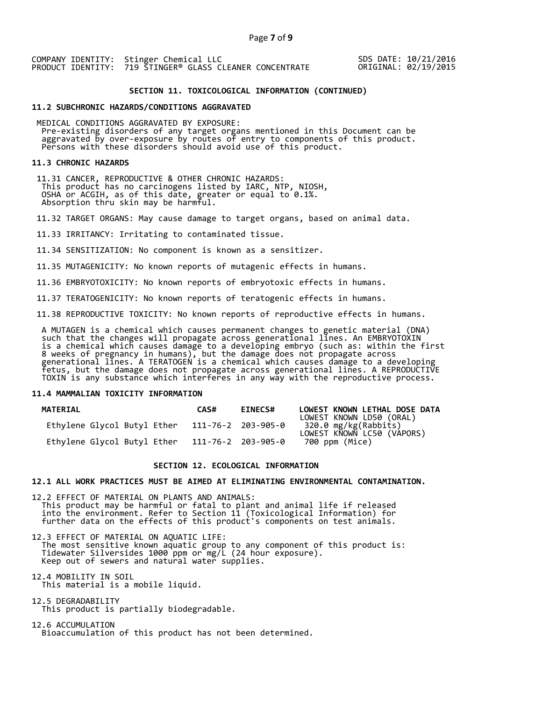SDS DATE: 10/21/2016 ORIGINAL: 02/19/2015

### **SECTION 11. TOXICOLOGICAL INFORMATION (CONTINUED)**

#### **11.2 SUBCHRONIC HAZARDS/CONDITIONS AGGRAVATED**

 MEDICAL CONDITIONS AGGRAVATED BY EXPOSURE: Pre-existing disorders of any target organs mentioned in this Document can be aggravated by over-exposure by routes of entry to components of this product. Persons with these disorders should avoid use of this product.

#### **11.3 CHRONIC HAZARDS**

 11.31 CANCER, REPRODUCTIVE & OTHER CHRONIC HAZARDS: This product has no carcinogens listed by IARC, NTP, NIOSH, OSHA or ACGIH, as of this date, greater or equal to 0.1%. Absorption thru skin may be harmful.

11.32 TARGET ORGANS: May cause damage to target organs, based on animal data.

11.33 IRRITANCY: Irritating to contaminated tissue.

11.34 SENSITIZATION: No component is known as a sensitizer.

11.35 MUTAGENICITY: No known reports of mutagenic effects in humans.

11.36 EMBRYOTOXICITY: No known reports of embryotoxic effects in humans.

11.37 TERATOGENICITY: No known reports of teratogenic effects in humans.

11.38 REPRODUCTIVE TOXICITY: No known reports of reproductive effects in humans.

 A MUTAGEN is a chemical which causes permanent changes to genetic material (DNA) such that the changes will propagate across generational lines. An EMBRYOTOXIN is a chemical which causes damage to a developing embryo (such as: within the first 8 weeks of pregnancy in humans), but the damage does not propagate across generational lines. A TERATOGEN is a chemical which causes damage to a developing fetus, but the damage does not propagate across generational lines. A REPRODUCTIVE TOXIN is any substance which interferes in any way with the reproductive process.

#### **11.4 MAMMALIAN TOXICITY INFORMATION**

| <b>MATERIAL</b>             | CAS# | <b>EINECS#</b>     | LOWEST KNOWN LETHAL DOSE DATA<br>LOWEST KNOWN LD50 (ORAL) |
|-----------------------------|------|--------------------|-----------------------------------------------------------|
| Ethylene Glycol Butyl Ether |      | 111-76-2 203-905-0 | 320.0 mg/kg(Rabbiťs)<br>LOWEST KNOWN LC50 (VÁPORS)        |
| Ethylene Glycol Butyl Ether |      | 111-76-2 203-905-0 | 700 ppm (Mice)                                            |

### **SECTION 12. ECOLOGICAL INFORMATION**

### **12.1 ALL WORK PRACTICES MUST BE AIMED AT ELIMINATING ENVIRONMENTAL CONTAMINATION.**

12.2 EFFECT OF MATERIAL ON PLANTS AND ANIMALS: This product may be harmful or fatal to plant and animal life if released into the environment. Refer to Section 11 (Toxicological Information) for further data on the effects of this product's components on test animals.

12.3 EFFECT OF MATERIAL ON AQUATIC LIFE: The most sensitive known aquatic group to any component of this product is: Tidewater Silversides 1000 ppm or mg/L (24 hour exposure). Keep out of sewers and natural water supplies.

12.4 MOBILITY IN SOIL This material is a mobile liquid.

12.5 DEGRADABILITY This product is partially biodegradable.

12.6 ACCUMULATION Bioaccumulation of this product has not been determined.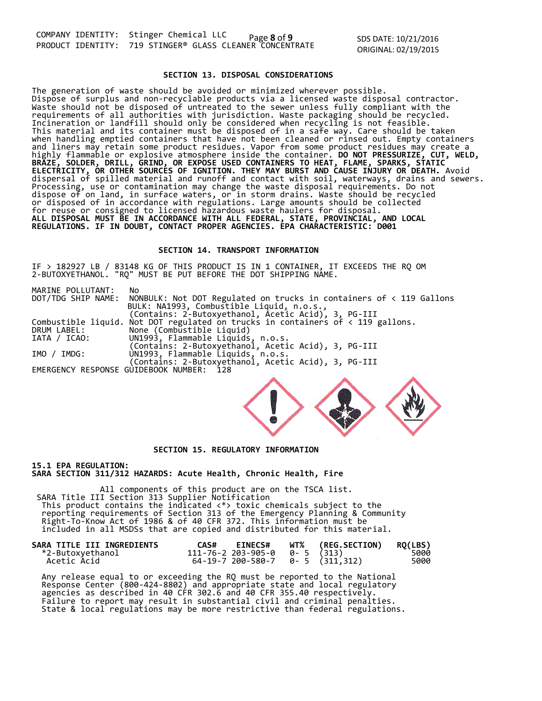SDS DATE: 10/21/2016 ORIGINAL: 02/19/2015

### **SECTION 13. DISPOSAL CONSIDERATIONS**

The generation of waste should be avoided or minimized wherever possible. Dispose of surplus and non-recyclable products via a licensed waste disposal contractor. Waste should not be disposed of untreated to the sewer unless fully compliant with the requirements of all authorities with jurisdiction. Waste packaging should be recycled. Incineration or landfill should only be considered when recycling is not feasible. This material and its container must be disposed of in a safe way. Care should be taken when handling emptied containers that have not been cleaned or rinsed out. Empty containers and liners may retain some product residues. Vapor from some product residues may create a highly flammable or explosive atmosphere inside the container. **DO NOT PRESSURIZE, CUT, WELD, BRAZE, SOLDER, DRILL, GRIND, OR EXPOSE USED CONTAINERS TO HEAT, FLAME, SPARKS, STATIC ELECTRICITY, OR OTHER SOURCES OF IGNITION. THEY MAY BURST AND CAUSE INJURY OR DEATH.** Avoid dispersal of spilled material and runoff and contact with soil, waterways, drains and sewers. Processing, use or contamination may change the waste disposal requirements. Do not dispose of on land, in surface waters, or in storm drains. Waste should be recycled or disposed of in accordance with regulations. Large amounts should be collected for reuse or consigned to licensed hazardous waste haulers for disposal. **ALL DISPOSAL MUST BE IN ACCORDANCE WITH ALL FEDERAL, STATE, PROVINCIAL, AND LOCAL REGULATIONS. IF IN DOUBT, CONTACT PROPER AGENCIES. EPA CHARACTERISTIC: D001** 

### **SECTION 14. TRANSPORT INFORMATION**

IF > 182927 LB / 83148 KG OF THIS PRODUCT IS IN 1 CONTAINER, IT EXCEEDS THE RQ OM 2-BUTOXYETHANOL. "RQ" MUST BE PUT BEFORE THE DOT SHIPPING NAME.

| No.                                                                                      |
|------------------------------------------------------------------------------------------|
| DOT/TDG SHIP NAME: NONBULK: Not DOT Regulated on trucks in containers of < 119 Gallons   |
| BULK: NA1993, Combustible Liquid, n.o.s.,                                                |
| (Contains: 2-Butoxyethanol, Acetic Acid), 3, PG-III                                      |
| Combustible liquid. Not DOT regulated on trucks in containers of $\langle$ 119 gallons.  |
| None (Combustible Liquid)                                                                |
| UN1993, Flammable Liquids, n.o.s.                                                        |
| (Contains: 2-Butoxyethanol, Acetic Acid), 3, PG-III                                      |
|                                                                                          |
| UN1993, Flammable Liquids, n.o.s.<br>(Contains: 2-Butoxyethanol, Acetic Acid), 3, PG-III |
| EMERGENCY RESPONSE GUIDEBOOK NUMBER: 128                                                 |
|                                                                                          |



# **SECTION 15. REGULATORY INFORMATION**

**15.1 EPA REGULATION: SARA SECTION 311/312 HAZARDS: Acute Health, Chronic Health, Fire** 

All components of this product are on the TSCA list. SARA Title III Section 313 Supplier Notification This product contains the indicated <\*> toxic chemicals subject to the reporting requirements of Section 313 of the Emergency Planning & Community Right-To-Know Act of 1986 & of 40 CFR 372. This information must be included in all MSDSs that are copied and distributed for this material.

| SARA TITLE III INGREDIENTS | <b>EINECS#</b><br>CAS#                | WT% (REG.SECTION) | <b>RQ(LBS)</b> |
|----------------------------|---------------------------------------|-------------------|----------------|
| *2-Butoxvethanol           | $111 - 76 - 2203 - 905 - 0$ 0-5 (313) |                   | 5000           |
| Acetic Acid                | $64-19-7$ 200-580-7 0-5 (311,312)     |                   | 5000           |

 Any release equal to or exceeding the RQ must be reported to the National Response Center (800-424-8802) and appropriate state and local regulatory agencies as described in 40 CFR 302.6 and 40 CFR 355.40 respectively. Failure to report may result in substantial civil and criminal penalties. State & local regulations may be more restrictive than federal regulations.